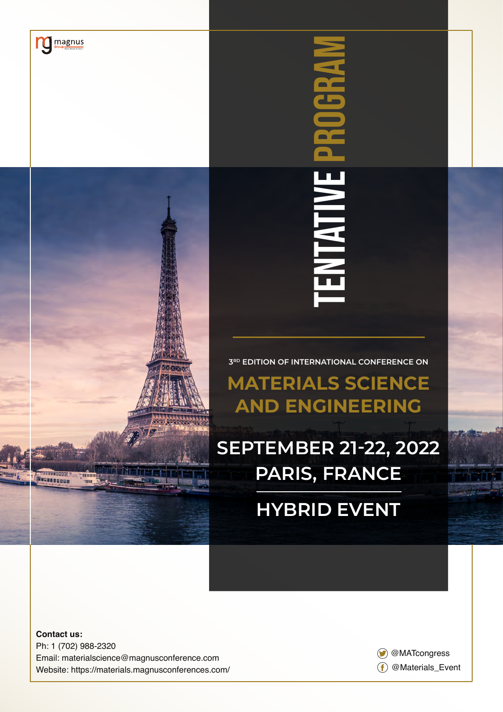

 $\sum_{\text{Group}}$ 

# **3RD EDITION OF INTERNATIONAL CONFERENCE ON MATERIALS SCIENCE AND ENGINEERING**

TENTATIVE PROGRAM

**RNTATIV** 

**SEPTEMBER 21-22, 2022 PARIS, FRANCE**

# **HYBRID EVENT**

**Contact us:** Ph: 1 (702) 988-2320 Email: materialscience@magnusconference.com Website: https://materials.magnusconferences.com/

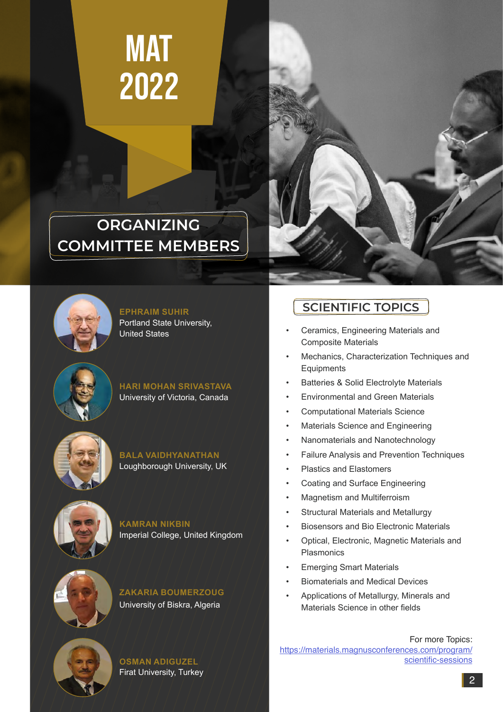# **MAT** 2022

## **ORGANIZING COMMITTEE MEMBERS**





**EPHRAIM SUHIR** Portland State University, United States

**HARI MOHAN SRIVASTAVA** University of Victoria, Canada







**KAMRAN NIKBIN** Imperial College, United Kingdom





## **SCIENTIFIC TOPICS**

- Ceramics, Engineering Materials and Composite Materials
- Mechanics, Characterization Techniques and **Equipments**
- Batteries & Solid Electrolyte Materials
- Environmental and Green Materials
- Computational Materials Science
- Materials Science and Engineering
- Nanomaterials and Nanotechnology
- Failure Analysis and Prevention Techniques
- Plastics and Elastomers
- Coating and Surface Engineering
- Magnetism and Multiferroism
- Structural Materials and Metallurgy
- Biosensors and Bio Electronic Materials
- Optical, Electronic, Magnetic Materials and Plasmonics
- **Emerging Smart Materials**
- Biomaterials and Medical Devices
- Applications of Metallurgy, Minerals and Materials Science in other fields

For more Topics: https://materials.magnusconferences.co[m/program/](https://magnusconferences.com/materials-science/program/scientific-sessions) **OSMAN ADIGUZEL**  $\left( \begin{array}{ccc} 1 & 1 & 1 \\ 1 & 1 & 1 \end{array} \right)$  [scientific-sessions](https://magnusconferences.com/materials-science/program/scientific-sessions)

Firat University, Turkey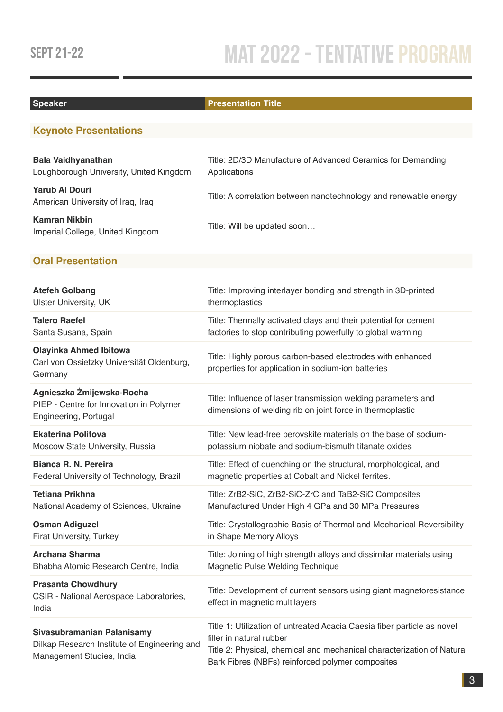# SEPT 21-22 MAT 2022 - TENTATIVE PROGRAM

### **Speaker Presentation Title**

## **Keynote Presentations**

| <b>Bala Vaidhyanathan</b><br>Loughborough University, United Kingdom | Title: 2D/3D Manufacture of Advanced Ceramics for Demanding<br>Applications |
|----------------------------------------------------------------------|-----------------------------------------------------------------------------|
| <b>Yarub Al Douri</b><br>American University of Iraq, Iraq           | Title: A correlation between nanotechnology and renewable energy            |
| <b>Kamran Nikbin</b><br>Imperial College, United Kingdom             | Title: Will be updated soon                                                 |

### **Oral Presentation**

| <b>Atefeh Golbang</b>                                                                                   | Title: Improving interlayer bonding and strength in 3D-printed                                                                                                                                                                    |
|---------------------------------------------------------------------------------------------------------|-----------------------------------------------------------------------------------------------------------------------------------------------------------------------------------------------------------------------------------|
| <b>Ulster University, UK</b>                                                                            | thermoplastics                                                                                                                                                                                                                    |
| <b>Talero Raefel</b>                                                                                    | Title: Thermally activated clays and their potential for cement                                                                                                                                                                   |
| Santa Susana, Spain                                                                                     | factories to stop contributing powerfully to global warming                                                                                                                                                                       |
| <b>Olayinka Ahmed Ibitowa</b><br>Carl von Ossietzky Universität Oldenburg,<br>Germany                   | Title: Highly porous carbon-based electrodes with enhanced<br>properties for application in sodium-ion batteries                                                                                                                  |
| Agnieszka Żmijewska-Rocha<br>PIEP - Centre for Innovation in Polymer<br>Engineering, Portugal           | Title: Influence of laser transmission welding parameters and<br>dimensions of welding rib on joint force in thermoplastic                                                                                                        |
| <b>Ekaterina Politova</b>                                                                               | Title: New lead-free perovskite materials on the base of sodium-                                                                                                                                                                  |
| Moscow State University, Russia                                                                         | potassium niobate and sodium-bismuth titanate oxides                                                                                                                                                                              |
| Bianca R. N. Pereira                                                                                    | Title: Effect of quenching on the structural, morphological, and                                                                                                                                                                  |
| Federal University of Technology, Brazil                                                                | magnetic properties at Cobalt and Nickel ferrites.                                                                                                                                                                                |
| <b>Tetiana Prikhna</b>                                                                                  | Title: ZrB2-SiC, ZrB2-SiC-ZrC and TaB2-SiC Composites                                                                                                                                                                             |
| National Academy of Sciences, Ukraine                                                                   | Manufactured Under High 4 GPa and 30 MPa Pressures                                                                                                                                                                                |
| <b>Osman Adiguzel</b>                                                                                   | Title: Crystallographic Basis of Thermal and Mechanical Reversibility                                                                                                                                                             |
| Firat University, Turkey                                                                                | in Shape Memory Alloys                                                                                                                                                                                                            |
| <b>Archana Sharma</b>                                                                                   | Title: Joining of high strength alloys and dissimilar materials using                                                                                                                                                             |
| Bhabha Atomic Research Centre, India                                                                    | Magnetic Pulse Welding Technique                                                                                                                                                                                                  |
| <b>Prasanta Chowdhury</b><br>CSIR - National Aerospace Laboratories,<br>India                           | Title: Development of current sensors using giant magnetoresistance<br>effect in magnetic multilayers                                                                                                                             |
| Sivasubramanian Palanisamy<br>Dilkap Research Institute of Engineering and<br>Management Studies, India | Title 1: Utilization of untreated Acacia Caesia fiber particle as novel<br>filler in natural rubber<br>Title 2: Physical, chemical and mechanical characterization of Natural<br>Bark Fibres (NBFs) reinforced polymer composites |